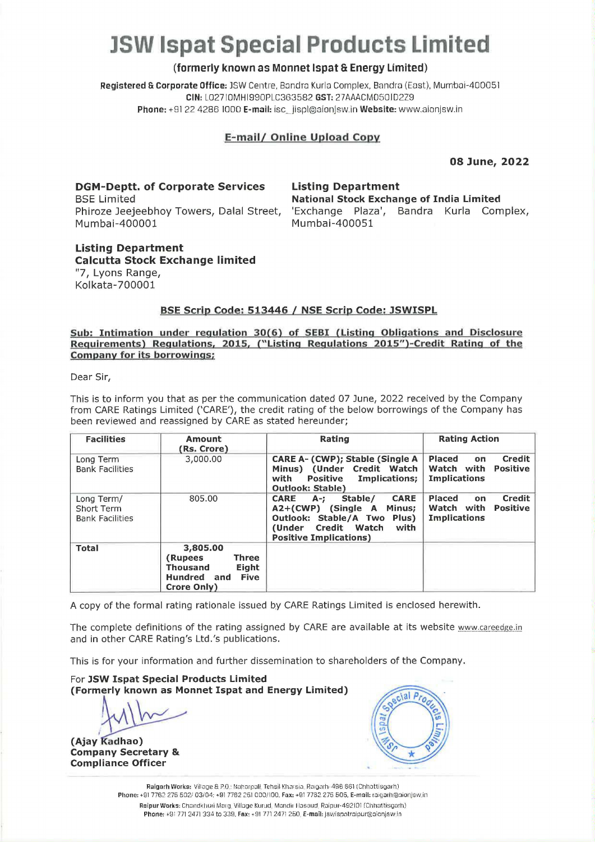# **JSW lspat Special Products Limited**

# **(formerly known as Monnet lspat 6 Energy Limited)**

Registered & Corporate Office: JSW Centre, Bandra Kurla Complex, Bandra (East), Mumbai-400051 **CIN:** L027IDMHl990Pl.C363582. **GST:** 27AAACMD50l02Z9 **Phone:** +81 22 4286 1000 **E-mail:** isc~jispl@aionjsw.inWebsite:www.aionjsw.in

# **E- mail/ Online Upload Copy**

**Listing Department** 

Mumbai-400051

**National Stock Exchange of India Limited**  'Exchange Plaza', Sandra Kurla Complex,

**08 June, 2022** 

**DGM-Deptt. of Corporate Services**  BSE Limited Phiroze Jeejeebhoy Towers, Dalal Street, Mumbai-400001

**Listing Department Calcutta Stock Exchange limited**  "7, Lyons Range,

## **BSE Scrip Code: 513446** / **NSE Scrip Code: JSWISPL**

#### **Sub: Intimation under regulation 30(6) of SEBI (Listing Obligations and Disclosure Requirements) Regulations. 2015, ("Listing Regulations 2015")-Credit Rating of the Company for its borrowings;**

Dear Sir,

Kolkata-700001

This is to inform you that as per the communication dated 07 June, 2022 received by the Company from CARE Ratings Limited ('CARE'), the credit rating of the below borrowings of the Company has been reviewed and reassigned by CARE as stated hereunder;

| <b>Facilities</b>                                  | Amount<br>(Rs. Crore)                                                                                         | <b>Rating</b>                                                                                                                                                                   | <b>Rating Action</b>                                                                         |  |  |
|----------------------------------------------------|---------------------------------------------------------------------------------------------------------------|---------------------------------------------------------------------------------------------------------------------------------------------------------------------------------|----------------------------------------------------------------------------------------------|--|--|
| Long Term<br><b>Bank Facilities</b>                | 3,000.00                                                                                                      | CARE A- (CWP); Stable (Single A)<br>Minus) (Under Credit Watch<br>with<br>Implications;<br><b>Positive</b><br><b>Outlook: Stable)</b>                                           | Credit<br><b>Placed</b><br>on<br>Watch with<br><b>Positive</b><br><b>Implications</b>        |  |  |
| Long Term/<br>Short Term<br><b>Bank Facilities</b> | 805.00                                                                                                        | <b>CARE</b><br>Stable/<br><b>CARE</b><br>$A-1$<br>$A2+(CWP)$ (Single A<br>Minus;<br>Outlook: Stable/A Two Plus)<br>(Under Credit Watch<br>with<br><b>Positive Implications)</b> | <b>Credit</b><br><b>Placed</b><br>on<br>Watch with<br><b>Positive</b><br><b>Implications</b> |  |  |
| <b>Total</b>                                       | 3,805.00<br><b>Three</b><br>(Rupees)<br>Eight<br><b>Thousand</b><br>Hundred and<br><b>Five</b><br>Crore Only) |                                                                                                                                                                                 |                                                                                              |  |  |

A copy of the formal rating rationale issued by CARE Ratings Limited is enclosed herewith.

The complete definitions of the rating assigned by CARE are available at its website www.careedge.in and in other CARE Rating's Ltd.'s publications.

This is for your information and further dissemination to shareholders of the Company.

For **JSW Ispat Special Products Limited (Formerly known as Monnet Ispat and Energy Limited)** 

(Ajay Kadhao) **Company Secretary** & **Compliance Officer** 



Raigarh Works: Village & P.O.: Naharpoli, Tehsil Kharsia, Raigarh 496 661 (Chhottisgarh) Phone: +91 7762 275 502/ 03/04: +91 7762 251 000/100, Fax: +91 7762 275 505, E-mail: raigarh@aionjsw.in Raipur Works: Chandkhuri Morg, Village Kurud, Mandir Hosoud, Raipur-49210! (Chhattisgarh) Phone: +91 771 2471 334 to 339, Fax: +91 771 2471 250. E-mail: jswispatraiour@alonjsw.in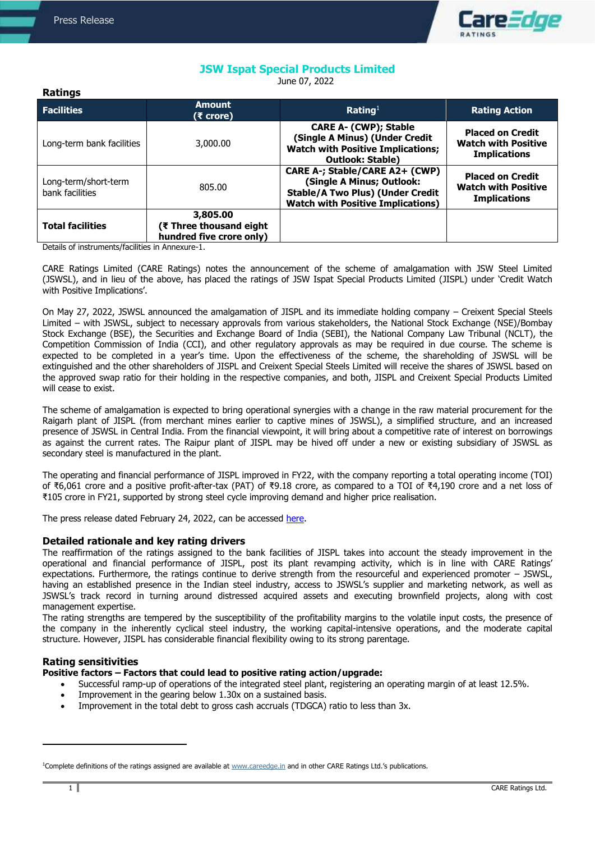**Ratings**



# **JSW Ispat Special Products Limited**

June 07, 2022

| naungs                                                 |                                                                                    |                                                                                                                                                    |                                                                              |
|--------------------------------------------------------|------------------------------------------------------------------------------------|----------------------------------------------------------------------------------------------------------------------------------------------------|------------------------------------------------------------------------------|
| <b>Facilities</b>                                      | <b>Amount</b><br>(₹ crore)                                                         | Rating <sup>1</sup>                                                                                                                                | <b>Rating Action</b>                                                         |
| Long-term bank facilities                              | 3,000.00                                                                           | <b>CARE A- (CWP); Stable</b><br>(Single A Minus) (Under Credit<br><b>Watch with Positive Implications;</b><br><b>Outlook: Stable)</b>              | <b>Placed on Credit</b><br><b>Watch with Positive</b><br><b>Implications</b> |
| Long-term/short-term<br>bank facilities                | 805.00                                                                             | CARE A-; Stable/CARE A2+ (CWP)<br>(Single A Minus; Outlook:<br><b>Stable/A Two Plus) (Under Credit</b><br><b>Watch with Positive Implications)</b> | <b>Placed on Credit</b><br><b>Watch with Positive</b><br><b>Implications</b> |
| <b>Total facilities</b><br>$\sim$ $\sim$ $\sim$ $\sim$ | 3,805.00<br>(₹ Three thousand eight<br>hundred five crore only)<br>$\cdot$ $\cdot$ |                                                                                                                                                    |                                                                              |

Details of instruments/facilities in Annexure-1.

CARE Ratings Limited (CARE Ratings) notes the announcement of the scheme of amalgamation with JSW Steel Limited (JSWSL), and in lieu of the above, has placed the ratings of JSW Ispat Special Products Limited (JISPL) under 'Credit Watch with Positive Implications'.

On May 27, 2022, JSWSL announced the amalgamation of JISPL and its immediate holding company – Creixent Special Steels Limited – with JSWSL, subject to necessary approvals from various stakeholders, the National Stock Exchange (NSE)/Bombay Stock Exchange (BSE), the Securities and Exchange Board of India (SEBI), the National Company Law Tribunal (NCLT), the Competition Commission of India (CCI), and other regulatory approvals as may be required in due course. The scheme is expected to be completed in a year's time. Upon the effectiveness of the scheme, the shareholding of JSWSL will be extinguished and the other shareholders of JISPL and Creixent Special Steels Limited will receive the shares of JSWSL based on the approved swap ratio for their holding in the respective companies, and both, JISPL and Creixent Special Products Limited will cease to exist.

The scheme of amalgamation is expected to bring operational synergies with a change in the raw material procurement for the Raigarh plant of JISPL (from merchant mines earlier to captive mines of JSWSL), a simplified structure, and an increased presence of JSWSL in Central India. From the financial viewpoint, it will bring about a competitive rate of interest on borrowings as against the current rates. The Raipur plant of JISPL may be hived off under a new or existing subsidiary of JSWSL as secondary steel is manufactured in the plant.

The operating and financial performance of JISPL improved in FY22, with the company reporting a total operating income (TOI) of ₹6,061 crore and a positive profit-after-tax (PAT) of ₹9.18 crore, as compared to a TOI of ₹4,190 crore and a net loss of ₹105 crore in FY21, supported by strong steel cycle improving demand and higher price realisation.

The press release dated February 24, 2022, can be accessed [here.](https://www.careratings.com/upload/CompanyFiles/PR/24022022070030_JSW_Ispat_Special_Products_Limited.pdf)

## **Detailed rationale and key rating drivers**

The reaffirmation of the ratings assigned to the bank facilities of JISPL takes into account the steady improvement in the operational and financial performance of JISPL, post its plant revamping activity, which is in line with CARE Ratings' expectations. Furthermore, the ratings continue to derive strength from the resourceful and experienced promoter – JSWSL, having an established presence in the Indian steel industry, access to JSWSL's supplier and marketing network, as well as JSWSL's track record in turning around distressed acquired assets and executing brownfield projects, along with cost management expertise.

The rating strengths are tempered by the susceptibility of the profitability margins to the volatile input costs, the presence of the company in the inherently cyclical steel industry, the working capital-intensive operations, and the moderate capital structure. However, JISPL has considerable financial flexibility owing to its strong parentage.

## **Rating sensitivities**

## **Positive factors – Factors that could lead to positive rating action/upgrade:**

- Successful ramp-up of operations of the integrated steel plant, registering an operating margin of at least 12.5%.
- Improvement in the gearing below 1.30x on a sustained basis.
- Improvement in the total debt to gross cash accruals (TDGCA) ratio to less than 3x.

 $\overline{a}$ 

<sup>&</sup>lt;sup>1</sup>Complete definitions of the ratings assigned are available at [www.careedge.in](http://www.careedge.in/) and in other CARE Ratings Ltd.'s publications.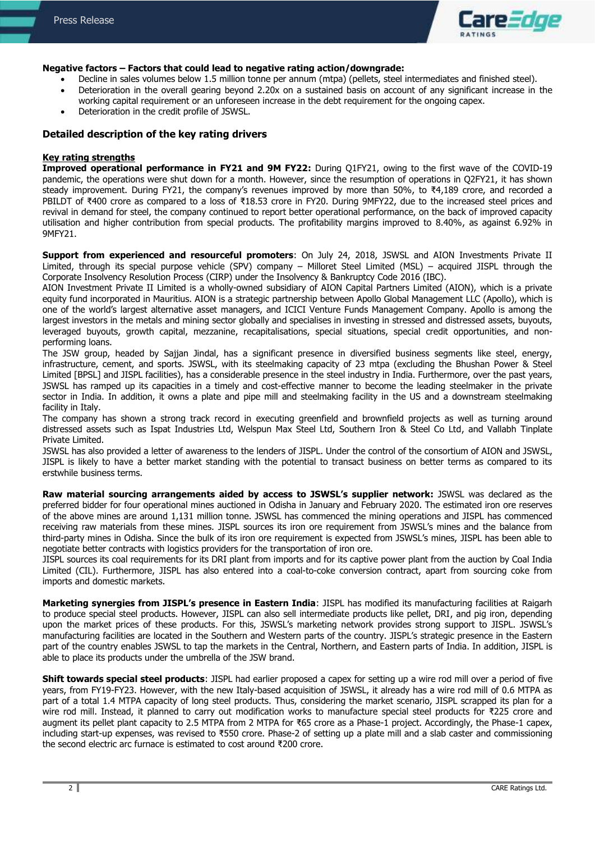

#### **Negative factors – Factors that could lead to negative rating action/downgrade:**

- Decline in sales volumes below 1.5 million tonne per annum (mtpa) (pellets, steel intermediates and finished steel).
- Deterioration in the overall gearing beyond 2.20x on a sustained basis on account of any significant increase in the working capital requirement or an unforeseen increase in the debt requirement for the ongoing capex.
- Deterioration in the credit profile of JSWSL.

#### **Detailed description of the key rating drivers**

#### **Key rating strengths**

**Improved operational performance in FY21 and 9M FY22:** During Q1FY21, owing to the first wave of the COVID-19 pandemic, the operations were shut down for a month. However, since the resumption of operations in Q2FY21, it has shown steady improvement. During FY21, the company's revenues improved by more than 50%, to ₹4,189 crore, and recorded a PBILDT of ₹400 crore as compared to a loss of ₹18.53 crore in FY20. During 9MFY22, due to the increased steel prices and revival in demand for steel, the company continued to report better operational performance, on the back of improved capacity utilisation and higher contribution from special products. The profitability margins improved to 8.40%, as against 6.92% in 9MFY21.

**Support from experienced and resourceful promoters**: On July 24, 2018, JSWSL and AION Investments Private II Limited, through its special purpose vehicle (SPV) company – Milloret Steel Limited (MSL) – acquired JISPL through the Corporate Insolvency Resolution Process (CIRP) under the Insolvency & Bankruptcy Code 2016 (IBC).

AION Investment Private II Limited is a wholly-owned subsidiary of AION Capital Partners Limited (AION), which is a private equity fund incorporated in Mauritius. AION is a strategic partnership between Apollo Global Management LLC (Apollo), which is one of the world's largest alternative asset managers, and ICICI Venture Funds Management Company. Apollo is among the largest investors in the metals and mining sector globally and specialises in investing in stressed and distressed assets, buyouts, leveraged buyouts, growth capital, mezzanine, recapitalisations, special situations, special credit opportunities, and nonperforming loans.

The JSW group, headed by Sajjan Jindal, has a significant presence in diversified business segments like steel, energy, infrastructure, cement, and sports. JSWSL, with its steelmaking capacity of 23 mtpa (excluding the Bhushan Power & Steel Limited [BPSL] and JISPL facilities), has a considerable presence in the steel industry in India. Furthermore, over the past years, JSWSL has ramped up its capacities in a timely and cost-effective manner to become the leading steelmaker in the private sector in India. In addition, it owns a plate and pipe mill and steelmaking facility in the US and a downstream steelmaking facility in Italy.

The company has shown a strong track record in executing greenfield and brownfield projects as well as turning around distressed assets such as Ispat Industries Ltd, Welspun Max Steel Ltd, Southern Iron & Steel Co Ltd, and Vallabh Tinplate Private Limited.

JSWSL has also provided a letter of awareness to the lenders of JISPL. Under the control of the consortium of AION and JSWSL, JISPL is likely to have a better market standing with the potential to transact business on better terms as compared to its erstwhile business terms.

**Raw material sourcing arrangements aided by access to JSWSL's supplier network:** JSWSL was declared as the preferred bidder for four operational mines auctioned in Odisha in January and February 2020. The estimated iron ore reserves of the above mines are around 1,131 million tonne. JSWSL has commenced the mining operations and JISPL has commenced receiving raw materials from these mines. JISPL sources its iron ore requirement from JSWSL's mines and the balance from third-party mines in Odisha. Since the bulk of its iron ore requirement is expected from JSWSL's mines, JISPL has been able to negotiate better contracts with logistics providers for the transportation of iron ore.

JISPL sources its coal requirements for its DRI plant from imports and for its captive power plant from the auction by Coal India Limited (CIL). Furthermore, JISPL has also entered into a coal-to-coke conversion contract, apart from sourcing coke from imports and domestic markets.

**Marketing synergies from JISPL's presence in Eastern India**: JISPL has modified its manufacturing facilities at Raigarh to produce special steel products. However, JISPL can also sell intermediate products like pellet, DRI, and pig iron, depending upon the market prices of these products. For this, JSWSL's marketing network provides strong support to JISPL. JSWSL's manufacturing facilities are located in the Southern and Western parts of the country. JISPL's strategic presence in the Eastern part of the country enables JSWSL to tap the markets in the Central, Northern, and Eastern parts of India. In addition, JISPL is able to place its products under the umbrella of the JSW brand.

**Shift towards special steel products**: JISPL had earlier proposed a capex for setting up a wire rod mill over a period of five years, from FY19-FY23. However, with the new Italy-based acquisition of JSWSL, it already has a wire rod mill of 0.6 MTPA as part of a total 1.4 MTPA capacity of long steel products. Thus, considering the market scenario, JISPL scrapped its plan for a wire rod mill. Instead, it planned to carry out modification works to manufacture special steel products for ₹225 crore and augment its pellet plant capacity to 2.5 MTPA from 2 MTPA for ₹65 crore as a Phase-1 project. Accordingly, the Phase-1 capex, including start-up expenses, was revised to ₹550 crore. Phase-2 of setting up a plate mill and a slab caster and commissioning the second electric arc furnace is estimated to cost around ₹200 crore.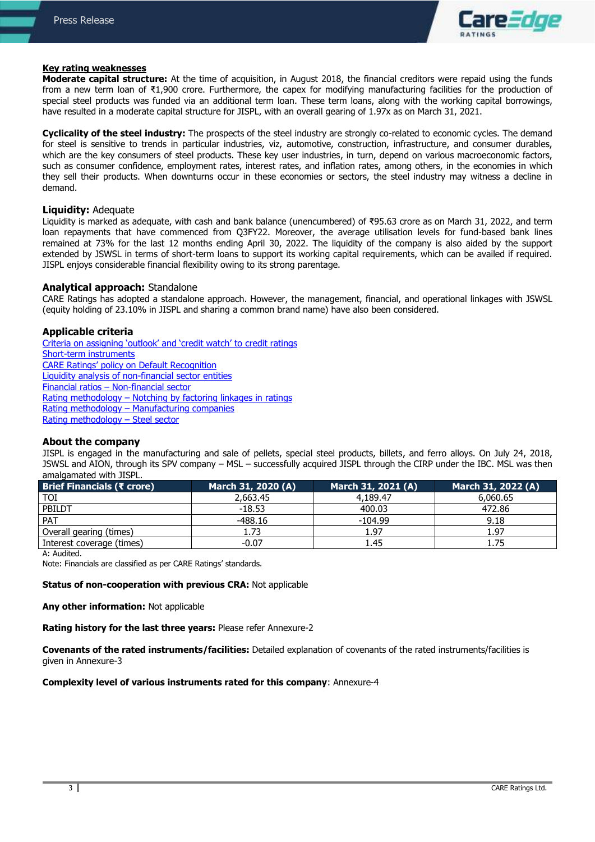

#### **Key rating weaknesses**

**Moderate capital structure:** At the time of acquisition, in August 2018, the financial creditors were repaid using the funds from a new term loan of ₹1,900 crore. Furthermore, the capex for modifying manufacturing facilities for the production of special steel products was funded via an additional term loan. These term loans, along with the working capital borrowings, have resulted in a moderate capital structure for JISPL, with an overall gearing of 1.97x as on March 31, 2021.

**Cyclicality of the steel industry:** The prospects of the steel industry are strongly co-related to economic cycles. The demand for steel is sensitive to trends in particular industries, viz, automotive, construction, infrastructure, and consumer durables, which are the key consumers of steel products. These key user industries, in turn, depend on various macroeconomic factors, such as consumer confidence, employment rates, interest rates, and inflation rates, among others, in the economies in which they sell their products. When downturns occur in these economies or sectors, the steel industry may witness a decline in demand.

#### **Liquidity:** Adequate

Liquidity is marked as adequate, with cash and bank balance (unencumbered) of ₹95.63 crore as on March 31, 2022, and term loan repayments that have commenced from Q3FY22. Moreover, the average utilisation levels for fund-based bank lines remained at 73% for the last 12 months ending April 30, 2022. The liquidity of the company is also aided by the support extended by JSWSL in terms of short-term loans to support its working capital requirements, which can be availed if required. JISPL enjoys considerable financial flexibility owing to its strong parentage.

#### **Analytical approach:** Standalone

CARE Ratings has adopted a standalone approach. However, the management, financial, and operational linkages with JSWSL (equity holding of 23.10% in JISPL and sharing a common brand name) have also been considered.

#### **Applicable criteria**

[Criteria on assigning 'outlook' and 'credit watch' to](https://www.careratings.com/pdf/resources/Rating%20Outlook%20and%20credit%20watch%20_30May%202020.pdf) credit ratings [Short-term instruments](https://www.careratings.com/upload/NewsFiles/GetRated/Short%20Term%20Instruments%20_Mar%202020.pdf) CARE Ratings' po[licy on Default Recognition](https://www.careratings.com/pdf/resources/CARE) [Liquidity analysis of non-financial sector entities](http://www.careratings.com/pdf/resources/Liquidity%20Analysis%20of%20Non-Financial%20Sector%20entities_May2020.pdf) Financial ratios – [Non-financial sector](http://www.careratings.com/pdf/resources/Financial%20ratios%20-%20Non%20Financial%20Sector-Sept2019.pdf) Rating methodology – [Notching by factoring linkages in ratings](https://www.careratings.com/upload/NewsFiles/GetRated/Rating%20Methodology%20-%20Parent%20Sub%20JV%20Group-Oct%2020.pdf) Rating methodology – [Manufacturing companies](https://www.careratings.com/upload/NewsFiles/GetRated/Rating%20Methodology%20-%20Manufacturing%20Companies_16Sept2019.pdf) [Rating methodology](https://www.careratings.com/upload/NewsFiles/GetRated/Rating_Methodology%20-%20Steel%20industry%20July%202019.pdf) – Steel sector

### **About the company**

JISPL is engaged in the manufacturing and sale of pellets, special steel products, billets, and ferro alloys. On July 24, 2018, JSWSL and AION, through its SPV company – MSL – successfully acquired JISPL through the CIRP under the IBC. MSL was then amalgamated with JISPL.

| Brief Financials (₹ crore) | March 31, 2020 (A) | March 31, 2021 (A) | March 31, 2022 (A) |
|----------------------------|--------------------|--------------------|--------------------|
| <b>TOI</b>                 | 2,663.45           | 4.189.47           | 6,060.65           |
| PBILDT                     | $-18.53$           | 400.03             | 472.86             |
| <b>PAT</b>                 | $-488.16$          | $-104.99$          | 9.18               |
| Overall gearing (times)    | 1.73               | 1.97               | 1.97               |
| Interest coverage (times)  | $-0.07$            | 1.45               | 1.75               |

A: Audited.

Note: Financials are classified as per CARE Ratings' standards.

#### **Status of non-cooperation with previous CRA:** Not applicable

#### **Any other information:** Not applicable

**Rating history for the last three years:** Please refer Annexure-2

**Covenants of the rated instruments/facilities:** Detailed explanation of covenants of the rated instruments/facilities is given in Annexure-3

#### **Complexity level of various instruments rated for this company**: Annexure-4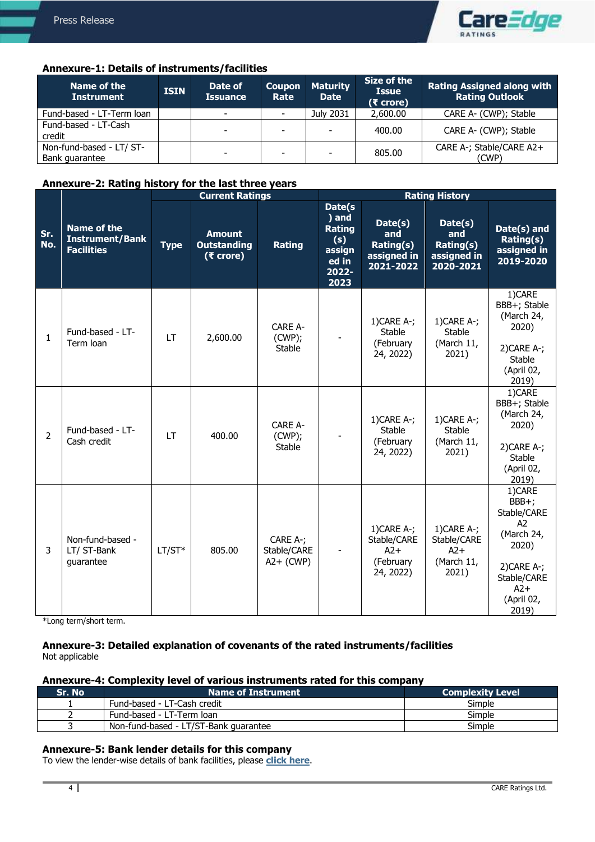

# **Annexure-1: Details of instruments/facilities**

| Name of the<br><b>Instrument</b>           | <b>ISIN</b> | Date of<br><b>Issuance</b> | <b>Coupon</b><br>Rate | <b>Maturity</b><br><b>Date</b> | Size of the<br><b>Issue</b><br>$(5$ crore) | <b>Rating Assigned along with</b><br><b>Rating Outlook</b> |
|--------------------------------------------|-------------|----------------------------|-----------------------|--------------------------------|--------------------------------------------|------------------------------------------------------------|
| Fund-based - LT-Term loan                  |             | $\overline{\phantom{0}}$   |                       | July 2031                      | 2,600.00                                   | CARE A- (CWP); Stable                                      |
| Fund-based - LT-Cash<br>credit             |             |                            | ۰.                    |                                | 400.00                                     | CARE A- (CWP); Stable                                      |
| Non-fund-based - LT/ ST-<br>Bank quarantee |             |                            | -                     |                                | 805.00                                     | CARE A-; Stable/CARE A2+<br>(CWP)                          |

# **Annexure-2: Rating history for the last three years**

|                |                                                                   | <b>Current Ratings</b> |                                                    |                                           | <b>Rating History</b>                                                |                                                                 |                                                              |                                                                                                                                         |
|----------------|-------------------------------------------------------------------|------------------------|----------------------------------------------------|-------------------------------------------|----------------------------------------------------------------------|-----------------------------------------------------------------|--------------------------------------------------------------|-----------------------------------------------------------------------------------------------------------------------------------------|
| Sr.<br>No.     | <b>Name of the</b><br><b>Instrument/Bank</b><br><b>Facilities</b> | <b>Type</b>            | <b>Amount</b><br><b>Outstanding</b><br>$(5$ crore) | <b>Rating</b>                             | Date(s<br>) and<br>Rating<br>(s)<br>assign<br>ed in<br>2022-<br>2023 | Date(s)<br>and<br><b>Rating(s)</b><br>assigned in<br>2021-2022  | Date(s)<br>and<br>Rating(s)<br>assigned in<br>2020-2021      | Date(s) and<br>Rating(s)<br>assigned in<br>2019-2020                                                                                    |
| $\mathbf{1}$   | Fund-based - LT-<br>Term loan                                     | <b>LT</b>              | 2,600.00                                           | <b>CARE A-</b><br>(CWP);<br><b>Stable</b> |                                                                      | $1)$ CARE A-;<br>Stable<br>(February<br>24, 2022)               | 1)CARE A-;<br><b>Stable</b><br>(March 11,<br>2021)           | 1)CARE<br>BBB+; Stable<br>(March 24,<br>2020)<br>$2)$ CARE A-;<br>Stable<br>(April 02,<br>2019)                                         |
| $\overline{2}$ | Fund-based - LT-<br>Cash credit                                   | <b>LT</b>              | 400.00                                             | CARE A-<br>(CWP);<br><b>Stable</b>        |                                                                      | $1)$ CARE A-;<br><b>Stable</b><br>(February<br>24, 2022)        | 1)CARE A-;<br><b>Stable</b><br>(March 11,<br>2021)           | 1)CARE<br>BBB+; Stable<br>(March 24,<br>2020)<br>$2)$ CARE A-;<br><b>Stable</b><br>(April 02,<br>2019)                                  |
| 3              | Non-fund-based -<br>LT/ ST-Bank<br>guarantee                      | $LT/ST*$               | 805.00                                             | CARE A-;<br>Stable/CARE<br>$A2+$ (CWP)    |                                                                      | $1)$ CARE A-;<br>Stable/CARE<br>$A2+$<br>(February<br>24, 2022) | $1)$ CARE A-;<br>Stable/CARE<br>$A2+$<br>(March 11,<br>2021) | 1)CARE<br>BBB+;<br>Stable/CARE<br>A <sub>2</sub><br>(March 24,<br>2020)<br>$2)$ CARE A-;<br>Stable/CARE<br>$A2+$<br>(April 02,<br>2019) |

\*Long term/short term.

## **Annexure-3: Detailed explanation of covenants of the rated instruments/facilities** Not applicable

# **Annexure-4: Complexity level of various instruments rated for this company**

| Sr. No | <b>Name of Instrument</b>             | <b>Complexity Level</b> |
|--------|---------------------------------------|-------------------------|
|        | Fund-based - LT-Cash credit           | Simple                  |
|        | Fund-based - LT-Term loan             | Simple                  |
|        | Non-fund-based - LT/ST-Bank guarantee | Simple                  |

# **Annexure-5: Bank lender details for this company**

To view the lender-wise details of bank facilities, please **[click here](https://www.careratings.com/Bankdetails.aspx?Id=kaIPAeJAwS9ZjxqxQgJKmA==)**.